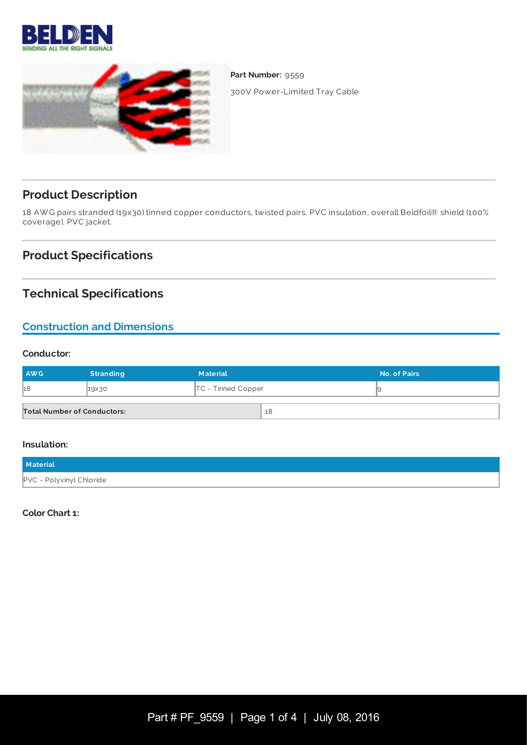



Part Number: 9559 300V Power-Limited Tray Cable

**Product Description**

18 AW G pairs stranded (19x30) tinned copper conductors, twisted pairs, PVC insulation, overall Beldfoil® shield (100% coverage), PVC jacket.

## **Product Specifications**

## **Technical Specifications**

## **Construction and Dimensions**

#### **Conductor:**

| AWG                                | <b>Stranding</b> | <b>Material</b>      |    | No. of Pairs |
|------------------------------------|------------------|----------------------|----|--------------|
| 18                                 | 19×30            | $TC$ - Tinned Copper |    |              |
| <b>Total Number of Conductors:</b> |                  |                      | 18 |              |

#### **Insulation:**

| Material                 |  |
|--------------------------|--|
| PVC - Polyvinyl Chloride |  |

**Color Chart 1:**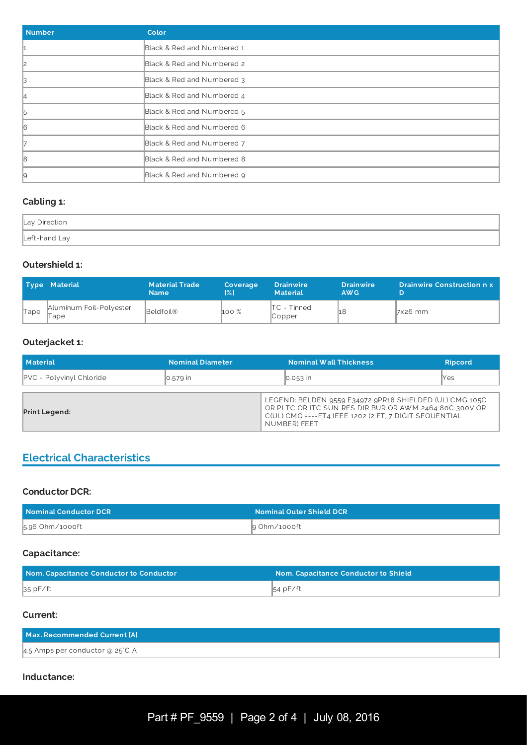| <b>Number</b> | Color                      |
|---------------|----------------------------|
|               | Black & Red and Numbered 1 |
| l2            | Black & Red and Numbered 2 |
| ß.            | Black & Red and Numbered 3 |
| 14            | Black & Red and Numbered 4 |
| 5             | Black & Red and Numbered 5 |
| 16            | Black & Red and Numbered 6 |
|               | Black & Red and Numbered 7 |
| 18            | Black & Red and Numbered 8 |
| 9             | Black & Red and Numbered 9 |

## **Cabling 1:**

| Lay Direction |  |
|---------------|--|
| Left-hand Lay |  |

#### **Outershield 1:**

|      | <b>Type Material</b>            | <b>Material Trade</b><br><b>Name</b> | <b>Coverage</b><br>$\left[\frac{9}{6}\right]$ | <b>Drainwire</b><br><b>Material</b> | <b>Drainwire</b><br>AW <sub>G</sub> | <b>Drainwire Construction n x</b> |
|------|---------------------------------|--------------------------------------|-----------------------------------------------|-------------------------------------|-------------------------------------|-----------------------------------|
| Tape | Aluminum Foil-Polyester<br>lape | Beldfoil <sup>®</sup>                | $100\%$                                       | $TC - Timed$<br>$\mathbb{C}$ opper  |                                     | $7x26$ mm                         |

## **Outerjacket 1:**

| <b>Material</b>                 | <b>Nominal Diameter</b> | Nominal Wall Thickness                                                                                                                                                                      | <b>Ripcord</b> |
|---------------------------------|-------------------------|---------------------------------------------------------------------------------------------------------------------------------------------------------------------------------------------|----------------|
| <b>PVC</b> - Polyvinyl Chloride | $\vert$ 0.579 $\vert$ n | $\overline{0.053}$ in                                                                                                                                                                       | llYes          |
| <b>Print Legend:</b>            |                         | LEGEND: BELDEN 9559 E34972 9PR18 SHIELDED (UL) CMG 105C<br>OR PLTC OR ITC SUN RES DIR BUR OR AWM 2464 80C 300V OR<br>C(UL) CMG ---- FT4 IEEE 1202 (2 FT, 7 DIGIT SEQUENTIAL<br>NUMBER) FEET |                |

## **Electrical Characteristics**

#### **Conductor DCR:**

| Nominal Conductor DCR | <b>Nominal Outer Shield DCR</b> |
|-----------------------|---------------------------------|
| 5.96 Ohm/1000ft       | 9 Ohm/1000ft                    |

## **Capacitance:**

| Nom. Capacitance Conductor to Conductor | Nom. Capacitance Conductor to Shield |
|-----------------------------------------|--------------------------------------|
| 35 pF/ft                                | $54$ pF/ft                           |

## **Current:**

| Max. Recommended Current [A]    |  |
|---------------------------------|--|
| 4.5 Amps per conductor @ 25°C A |  |

#### **Inductance:**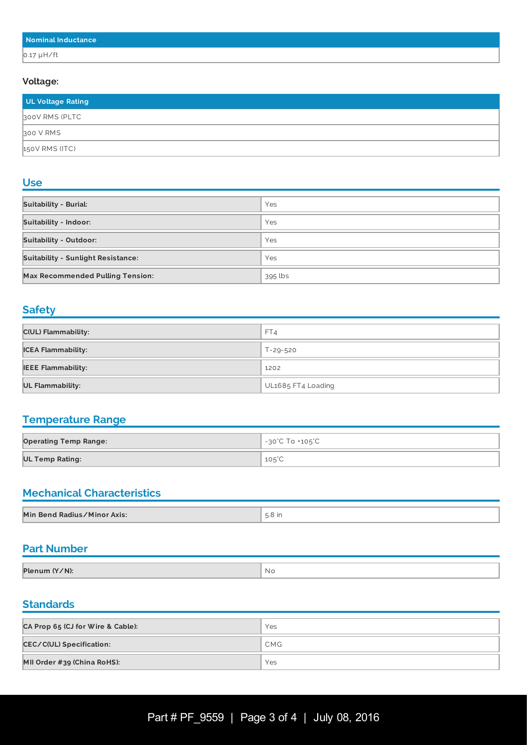| Nominal Inductance |  |
|--------------------|--|
| $0.17 \mu H/ft$    |  |

#### **Voltage:**

| UL Voltage Rating |  |
|-------------------|--|
| 300V RMS (PLTC    |  |
| 300 V RMS         |  |
| 150V RMS (ITC)    |  |

#### **Use**

| <b>Suitability - Burial:</b>              | Yes     |
|-------------------------------------------|---------|
| <b>Suitability - Indoor:</b>              | Yes     |
| <b>Suitability - Outdoor:</b>             | Yes     |
| <b>Suitability - Sunlight Resistance:</b> | Yes     |
| <b>Max Recommended Pulling Tension:</b>   | 395 lbs |

## **Safety**

| C(UL) Flammability:       | FT4                |
|---------------------------|--------------------|
| <b>ICEA Flammability:</b> | T-29-520           |
| <b>IEEE Flammability:</b> | 1202               |
| <b>UL Flammability:</b>   | UL1685 FT4 Loading |

## **Temperature Range**

| <b>Operating Temp Range:</b> | -30°C To +105°C |
|------------------------------|-----------------|
| <b>UL Temp Rating:</b>       | $105^{\circ}$ C |

# **Mechanical Characteristics**

| Min Bend Radius/Minor Axis:<br>.<br>.<br>the contract of the contract of the contract of the contract of the contract of the contract of the contract of |  |
|----------------------------------------------------------------------------------------------------------------------------------------------------------|--|

## **Part Number**

| Plenum (Y/N): | NC. |
|---------------|-----|

#### **Standards**

| CA Prop 65 (CJ for Wire & Cable): | Yes        |
|-----------------------------------|------------|
| <b>CEC/C(UL) Specification:</b>   | <b>CMG</b> |
| MII Order #39 (China RoHS):       | Yes        |